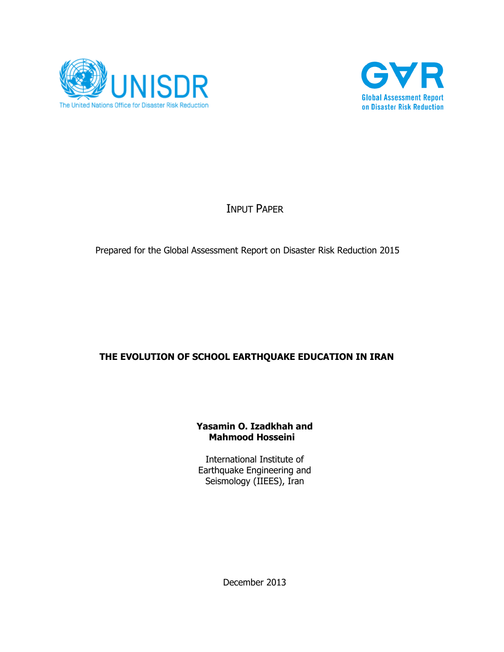



# INPUT PAPER

## Prepared for the Global Assessment Report on Disaster Risk Reduction 2015

## **THE EVOLUTION OF SCHOOL EARTHQUAKE EDUCATION IN IRAN**

#### **Yasamin O. Izadkhah and Mahmood Hosseini**

International Institute of Earthquake Engineering and Seismology (IIEES), Iran

December 2013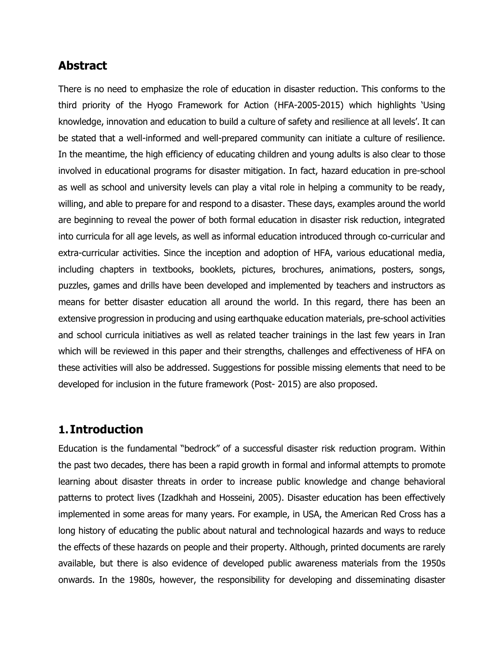# **Abstract**

There is no need to emphasize the role of education in disaster reduction. This conforms to the third priority of the Hyogo Framework for Action (HFA-2005-2015) which highlights 'Using knowledge, innovation and education to build a culture of safety and resilience at all levels'. It can be stated that a well-informed and well-prepared community can initiate a culture of resilience. In the meantime, the high efficiency of educating children and young adults is also clear to those involved in educational programs for disaster mitigation. In fact, hazard education in pre-school as well as school and university levels can play a vital role in helping a community to be ready, willing, and able to prepare for and respond to a disaster. These days, examples around the world are beginning to reveal the power of both formal education in disaster risk reduction, integrated into curricula for all age levels, as well as informal education introduced through co-curricular and extra-curricular activities. Since the inception and adoption of HFA, various educational media, including chapters in textbooks, booklets, pictures, brochures, animations, posters, songs, puzzles, games and drills have been developed and implemented by teachers and instructors as means for better disaster education all around the world. In this regard, there has been an extensive progression in producing and using earthquake education materials, pre-school activities and school curricula initiatives as well as related teacher trainings in the last few years in Iran which will be reviewed in this paper and their strengths, challenges and effectiveness of HFA on these activities will also be addressed. Suggestions for possible missing elements that need to be developed for inclusion in the future framework (Post- 2015) are also proposed.

## **1. Introduction**

Education is the fundamental "bedrock" of a successful disaster risk reduction program. Within the past two decades, there has been a rapid growth in formal and informal attempts to promote learning about disaster threats in order to increase public knowledge and change behavioral patterns to protect lives (Izadkhah and Hosseini, 2005). Disaster education has been effectively implemented in some areas for many years. For example, in USA, the American Red Cross has a long history of educating the public about natural and technological hazards and ways to reduce the effects of these hazards on people and their property. Although, printed documents are rarely available, but there is also evidence of developed public awareness materials from the 1950s onwards. In the 1980s, however, the responsibility for developing and disseminating disaster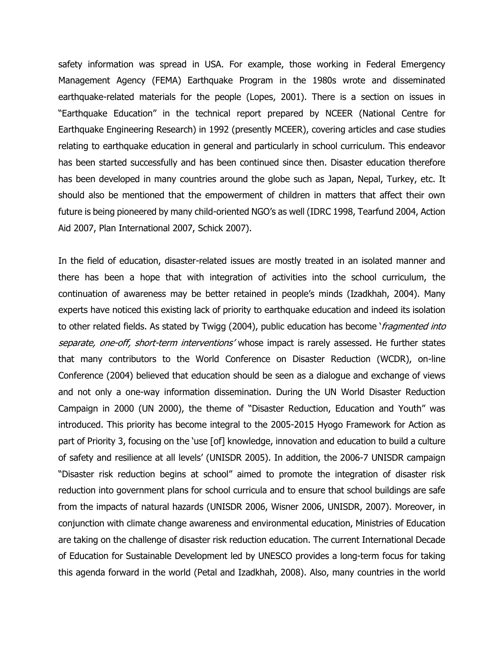safety information was spread in USA. For example, those working in Federal Emergency Management Agency (FEMA) Earthquake Program in the 1980s wrote and disseminated earthquake-related materials for the people (Lopes, 2001). There is a section on issues in "Earthquake Education" in the technical report prepared by NCEER (National Centre for Earthquake Engineering Research) in 1992 (presently MCEER), covering articles and case studies relating to earthquake education in general and particularly in school curriculum. This endeavor has been started successfully and has been continued since then. Disaster education therefore has been developed in many countries around the globe such as Japan, Nepal, Turkey, etc. It should also be mentioned that the empowerment of children in matters that affect their own future is being pioneered by many child-oriented NGO's as well (IDRC 1998, Tearfund 2004, Action Aid 2007, Plan International 2007, Schick 2007).

In the field of education, disaster-related issues are mostly treated in an isolated manner and there has been a hope that with integration of activities into the school curriculum, the continuation of awareness may be better retained in people's minds (Izadkhah, 2004). Many experts have noticed this existing lack of priority to earthquake education and indeed its isolation to other related fields. As stated by Twigg (2004), public education has become 'fragmented into separate, one-off, short-term interventions' whose impact is rarely assessed. He further states that many contributors to the World Conference on Disaster Reduction (WCDR), on-line Conference (2004) believed that education should be seen as a dialogue and exchange of views and not only a one-way information dissemination. During the UN World Disaster Reduction Campaign in 2000 (UN 2000), the theme of "Disaster Reduction, Education and Youth" was introduced. This priority has become integral to the 2005-2015 Hyogo Framework for Action as part of Priority 3, focusing on the 'use [of] knowledge, innovation and education to build a culture of safety and resilience at all levels' (UNISDR 2005). In addition, the 2006-7 UNISDR campaign "Disaster risk reduction begins at school" aimed to promote the integration of disaster risk reduction into government plans for school curricula and to ensure that school buildings are safe from the impacts of natural hazards (UNISDR 2006, Wisner 2006, UNISDR, 2007). Moreover, in conjunction with climate change awareness and environmental education, Ministries of Education are taking on the challenge of disaster risk reduction education. The current International Decade of Education for Sustainable Development led by UNESCO provides a long-term focus for taking this agenda forward in the world (Petal and Izadkhah, 2008). Also, many countries in the world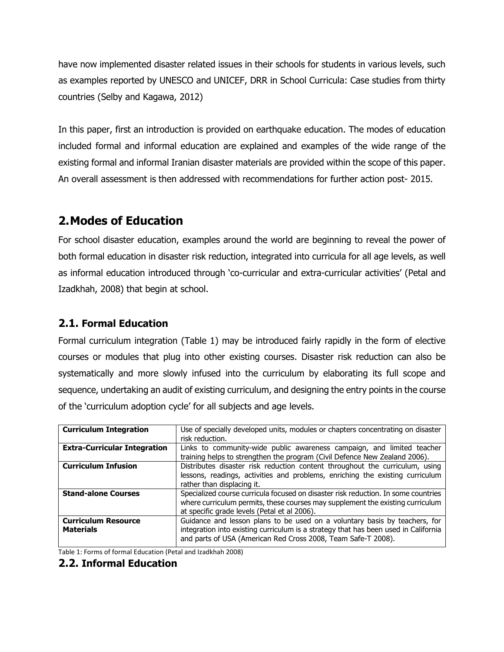have now implemented disaster related issues in their schools for students in various levels, such as examples reported by UNESCO and UNICEF, DRR in School Curricula: Case studies from thirty countries (Selby and Kagawa, 2012)

In this paper, first an introduction is provided on earthquake education. The modes of education included formal and informal education are explained and examples of the wide range of the existing formal and informal Iranian disaster materials are provided within the scope of this paper. An overall assessment is then addressed with recommendations for further action post- 2015.

# **2.Modes of Education**

For school disaster education, examples around the world are beginning to reveal the power of both formal education in disaster risk reduction, integrated into curricula for all age levels, as well as informal education introduced through 'co-curricular and extra-curricular activities' (Petal and Izadkhah, 2008) that begin at school.

## **2.1. Formal Education**

Formal curriculum integration (Table 1) may be introduced fairly rapidly in the form of elective courses or modules that plug into other existing courses. Disaster risk reduction can also be systematically and more slowly infused into the curriculum by elaborating its full scope and sequence, undertaking an audit of existing curriculum, and designing the entry points in the course of the 'curriculum adoption cycle' for all subjects and age levels.

| <b>Curriculum Integration</b>                  | Use of specially developed units, modules or chapters concentrating on disaster                                                                                                                                                    |
|------------------------------------------------|------------------------------------------------------------------------------------------------------------------------------------------------------------------------------------------------------------------------------------|
|                                                | risk reduction.                                                                                                                                                                                                                    |
| <b>Extra-Curricular Integration</b>            | Links to community-wide public awareness campaign, and limited teacher<br>training helps to strengthen the program (Civil Defence New Zealand 2006).                                                                               |
| <b>Curriculum Infusion</b>                     | Distributes disaster risk reduction content throughout the curriculum, using<br>lessons, readings, activities and problems, enriching the existing curriculum<br>rather than displacing it.                                        |
| <b>Stand-alone Courses</b>                     | Specialized course curricula focused on disaster risk reduction. In some countries<br>where curriculum permits, these courses may supplement the existing curriculum<br>at specific grade levels (Petal et al 2006).               |
| <b>Curriculum Resource</b><br><b>Materials</b> | Guidance and lesson plans to be used on a voluntary basis by teachers, for<br>integration into existing curriculum is a strategy that has been used in California<br>and parts of USA (American Red Cross 2008, Team Safe-T 2008). |

Table 1: Forms of formal Education (Petal and Izadkhah 2008)

## **2.2. Informal Education**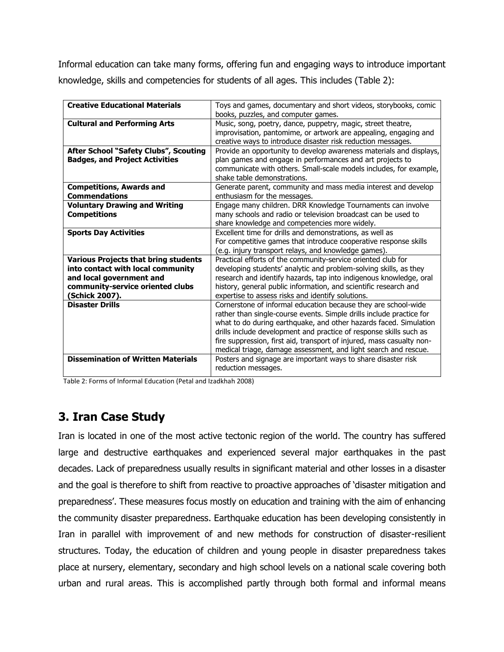Informal education can take many forms, offering fun and engaging ways to introduce important knowledge, skills and competencies for students of all ages. This includes (Table 2):

| <b>Creative Educational Materials</b>       | Toys and games, documentary and short videos, storybooks, comic       |
|---------------------------------------------|-----------------------------------------------------------------------|
|                                             | books, puzzles, and computer games.                                   |
| <b>Cultural and Performing Arts</b>         | Music, song, poetry, dance, puppetry, magic, street theatre,          |
|                                             | improvisation, pantomime, or artwork are appealing, engaging and      |
|                                             | creative ways to introduce disaster risk reduction messages.          |
| After School "Safety Clubs", Scouting       | Provide an opportunity to develop awareness materials and displays,   |
| <b>Badges, and Project Activities</b>       | plan games and engage in performances and art projects to             |
|                                             | communicate with others. Small-scale models includes, for example,    |
|                                             | shake table demonstrations.                                           |
| <b>Competitions, Awards and</b>             | Generate parent, community and mass media interest and develop        |
| <b>Commendations</b>                        | enthusiasm for the messages.                                          |
| <b>Voluntary Drawing and Writing</b>        | Engage many children. DRR Knowledge Tournaments can involve           |
| <b>Competitions</b>                         | many schools and radio or television broadcast can be used to         |
|                                             | share knowledge and competencies more widely.                         |
| <b>Sports Day Activities</b>                | Excellent time for drills and demonstrations, as well as              |
|                                             | For competitive games that introduce cooperative response skills      |
|                                             | (e.g. injury transport relays, and knowledge games).                  |
| <b>Various Projects that bring students</b> | Practical efforts of the community-service oriented club for          |
| into contact with local community           | developing students' analytic and problem-solving skills, as they     |
| and local government and                    | research and identify hazards, tap into indigenous knowledge, oral    |
| community-service oriented clubs            | history, general public information, and scientific research and      |
| (Schick 2007).                              | expertise to assess risks and identify solutions.                     |
| <b>Disaster Drills</b>                      | Cornerstone of informal education because they are school-wide        |
|                                             | rather than single-course events. Simple drills include practice for  |
|                                             | what to do during earthquake, and other hazards faced. Simulation     |
|                                             | drills include development and practice of response skills such as    |
|                                             | fire suppression, first aid, transport of injured, mass casualty non- |
|                                             | medical triage, damage assessment, and light search and rescue.       |
| <b>Dissemination of Written Materials</b>   | Posters and signage are important ways to share disaster risk         |
|                                             | reduction messages.                                                   |
|                                             |                                                                       |

Table 2: Forms of Informal Education (Petal and Izadkhah 2008)

# **3. Iran Case Study**

Iran is located in one of the most active tectonic region of the world. The country has suffered large and destructive earthquakes and experienced several major earthquakes in the past decades. Lack of preparedness usually results in significant material and other losses in a disaster and the goal is therefore to shift from reactive to proactive approaches of 'disaster mitigation and preparedness'. These measures focus mostly on education and training with the aim of enhancing the community disaster preparedness. Earthquake education has been developing consistently in Iran in parallel with improvement of and new methods for construction of disaster-resilient structures. Today, the education of children and young people in disaster preparedness takes place at nursery, elementary, secondary and high school levels on a national scale covering both urban and rural areas. This is accomplished partly through both formal and informal means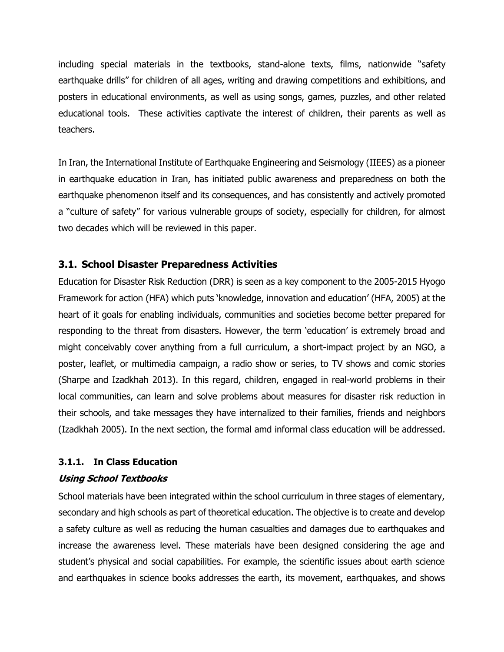including special materials in the textbooks, stand-alone texts, films, nationwide "safety earthquake drills" for children of all ages, writing and drawing competitions and exhibitions, and posters in educational environments, as well as using songs, games, puzzles, and other related educational tools. These activities captivate the interest of children, their parents as well as teachers.

In Iran, the International Institute of Earthquake Engineering and Seismology (IIEES) as a pioneer in earthquake education in Iran, has initiated public awareness and preparedness on both the earthquake phenomenon itself and its consequences, and has consistently and actively promoted a "culture of safety" for various vulnerable groups of society, especially for children, for almost two decades which will be reviewed in this paper.

## **3.1. School Disaster Preparedness Activities**

Education for Disaster Risk Reduction (DRR) is seen as a key component to the 2005-2015 Hyogo Framework for action (HFA) which puts 'knowledge, innovation and education' (HFA, 2005) at the heart of it goals for enabling individuals, communities and societies become better prepared for responding to the threat from disasters. However, the term 'education' is extremely broad and might conceivably cover anything from a full curriculum, a short-impact project by an NGO, a poster, leaflet, or multimedia campaign, a radio show or series, to TV shows and comic stories (Sharpe and Izadkhah 2013). In this regard, children, engaged in real-world problems in their local communities, can learn and solve problems about measures for disaster risk reduction in their schools, and take messages they have internalized to their families, friends and neighbors (Izadkhah 2005). In the next section, the formal amd informal class education will be addressed.

## **3.1.1. In Class Education**

#### **Using School Textbooks**

School materials have been integrated within the school curriculum in three stages of elementary, secondary and high schools as part of theoretical education. The objective is to create and develop a safety culture as well as reducing the human casualties and damages due to earthquakes and increase the awareness level. These materials have been designed considering the age and student's physical and social capabilities. For example, the scientific issues about earth science and earthquakes in science books addresses the earth, its movement, earthquakes, and shows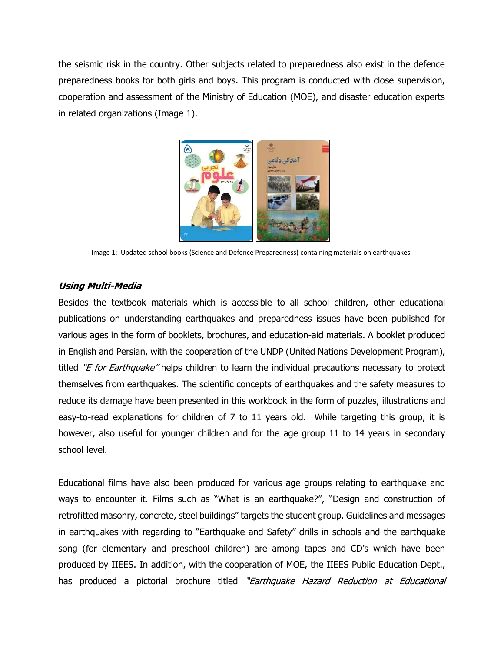the seismic risk in the country. Other subjects related to preparedness also exist in the defence preparedness books for both girls and boys. This program is conducted with close supervision, cooperation and assessment of the Ministry of Education (MOE), and disaster education experts in related organizations (Image 1).



Image 1: Updated school books (Science and Defence Preparedness) containing materials on earthquakes

#### **Using Multi-Media**

Besides the textbook materials which is accessible to all school children, other educational publications on understanding earthquakes and preparedness issues have been published for various ages in the form of booklets, brochures, and education-aid materials. A booklet produced in English and Persian, with the cooperation of the UNDP (United Nations Development Program), titled "E for Earthquake" helps children to learn the individual precautions necessary to protect themselves from earthquakes. The scientific concepts of earthquakes and the safety measures to reduce its damage have been presented in this workbook in the form of puzzles, illustrations and easy-to-read explanations for children of 7 to 11 years old. While targeting this group, it is however, also useful for younger children and for the age group 11 to 14 years in secondary school level.

Educational films have also been produced for various age groups relating to earthquake and ways to encounter it. Films such as "What is an earthquake?", "Design and construction of retrofitted masonry, concrete, steel buildings" targets the student group. Guidelines and messages in earthquakes with regarding to "Earthquake and Safety" drills in schools and the earthquake song (for elementary and preschool children) are among tapes and CD's which have been produced by IIEES. In addition, with the cooperation of MOE, the IIEES Public Education Dept., has produced a pictorial brochure titled "Earthquake Hazard Reduction at Educational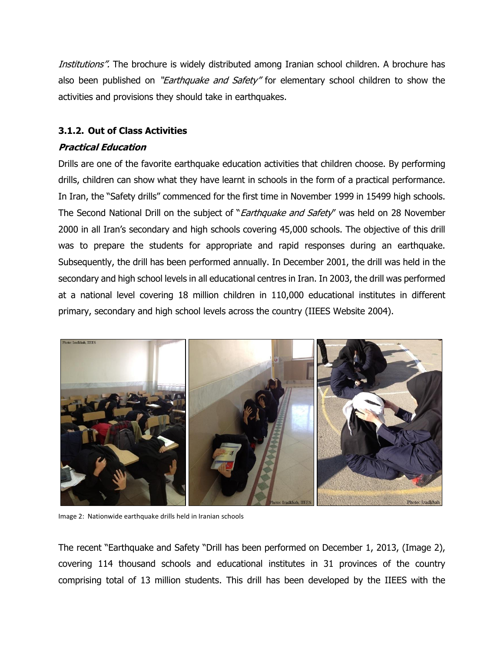Institutions". The brochure is widely distributed among Iranian school children. A brochure has also been published on "*Earthquake and Safety*" for elementary school children to show the activities and provisions they should take in earthquakes.

#### **3.1.2. Out of Class Activities**

#### **Practical Education**

Drills are one of the favorite earthquake education activities that children choose. By performing drills, children can show what they have learnt in schools in the form of a practical performance. In Iran, the "Safety drills" commenced for the first time in November 1999 in 15499 high schools. The Second National Drill on the subject of "*Earthquake and Safety*" was held on 28 November 2000 in all Iran's secondary and high schools covering 45,000 schools. The objective of this drill was to prepare the students for appropriate and rapid responses during an earthquake. Subsequently, the drill has been performed annually. In December 2001, the drill was held in the secondary and high school levels in all educational centres in Iran. In 2003, the drill was performed at a national level covering 18 million children in 110,000 educational institutes in different primary, secondary and high school levels across the country (IIEES Website 2004).



Image 2: Nationwide earthquake drills held in Iranian schools

The recent "Earthquake and Safety "Drill has been performed on December 1, 2013, (Image 2), covering 114 thousand schools and educational institutes in 31 provinces of the country comprising total of 13 million students. This drill has been developed by the IIEES with the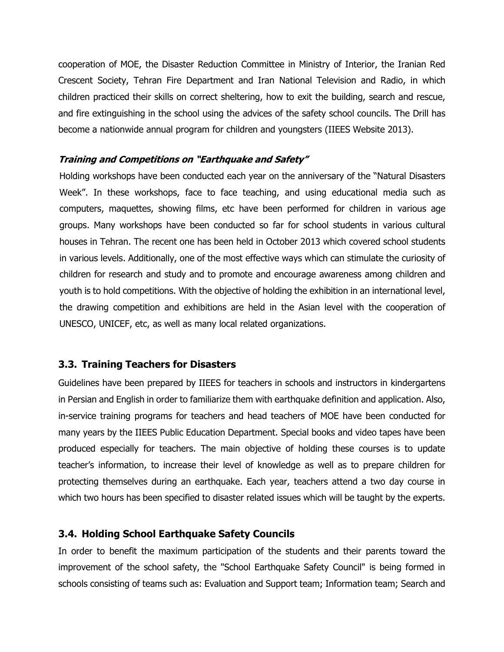cooperation of MOE, the Disaster Reduction Committee in Ministry of Interior, the Iranian Red Crescent Society, Tehran Fire Department and Iran National Television and Radio, in which children practiced their skills on correct sheltering, how to exit the building, search and rescue, and fire extinguishing in the school using the advices of the safety school councils. The Drill has become a nationwide annual program for children and youngsters (IIEES Website 2013).

#### **Training and Competitions on "Earthquake and Safety"**

Holding workshops have been conducted each year on the anniversary of the "Natural Disasters Week". In these workshops, face to face teaching, and using educational media such as computers, maquettes, showing films, etc have been performed for children in various age groups. Many workshops have been conducted so far for school students in various cultural houses in Tehran. The recent one has been held in October 2013 which covered school students in various levels. Additionally, one of the most effective ways which can stimulate the curiosity of children for research and study and to promote and encourage awareness among children and youth is to hold competitions. With the objective of holding the exhibition in an international level, the drawing competition and exhibitions are held in the Asian level with the cooperation of UNESCO, UNICEF, etc, as well as many local related organizations.

## **3.3. Training Teachers for Disasters**

Guidelines have been prepared by IIEES for teachers in schools and instructors in kindergartens in Persian and English in order to familiarize them with earthquake definition and application. Also, in-service training programs for teachers and head teachers of MOE have been conducted for many years by the IIEES Public Education Department. Special books and video tapes have been produced especially for teachers. The main objective of holding these courses is to update teacher's information, to increase their level of knowledge as well as to prepare children for protecting themselves during an earthquake. Each year, teachers attend a two day course in which two hours has been specified to disaster related issues which will be taught by the experts.

## **3.4. Holding School Earthquake Safety Councils**

In order to benefit the maximum participation of the students and their parents toward the improvement of the school safety, the "School Earthquake Safety Council" is being formed in schools consisting of teams such as: Evaluation and Support team; Information team; Search and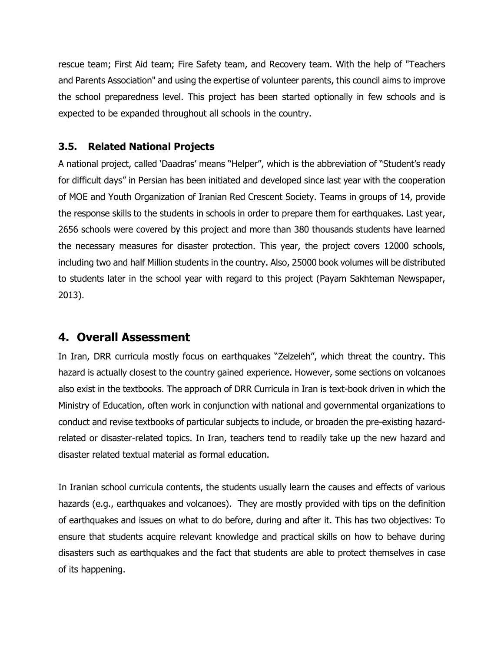rescue team; First Aid team; Fire Safety team, and Recovery team. With the help of "Teachers and Parents Association" and using the expertise of volunteer parents, this council aims to improve the school preparedness level. This project has been started optionally in few schools and is expected to be expanded throughout all schools in the country.

## **3.5. Related National Projects**

A national project, called 'Daadras' means "Helper", which is the abbreviation of "Student's ready for difficult days" in Persian has been initiated and developed since last year with the cooperation of MOE and Youth Organization of Iranian Red Crescent Society. Teams in groups of 14, provide the response skills to the students in schools in order to prepare them for earthquakes. Last year, 2656 schools were covered by this project and more than 380 thousands students have learned the necessary measures for disaster protection. This year, the project covers 12000 schools, including two and half Million students in the country. Also, 25000 book volumes will be distributed to students later in the school year with regard to this project (Payam Sakhteman Newspaper, 2013).

# **4. Overall Assessment**

In Iran, DRR curricula mostly focus on earthquakes "Zelzeleh", which threat the country. This hazard is actually closest to the country gained experience. However, some sections on volcanoes also exist in the textbooks. The approach of DRR Curricula in Iran is text-book driven in which the Ministry of Education, often work in conjunction with national and governmental organizations to conduct and revise textbooks of particular subjects to include, or broaden the pre-existing hazardrelated or disaster-related topics. In Iran, teachers tend to readily take up the new hazard and disaster related textual material as formal education.

In Iranian school curricula contents, the students usually learn the causes and effects of various hazards (e.g., earthquakes and volcanoes). They are mostly provided with tips on the definition of earthquakes and issues on what to do before, during and after it. This has two objectives: To ensure that students acquire relevant knowledge and practical skills on how to behave during disasters such as earthquakes and the fact that students are able to protect themselves in case of its happening.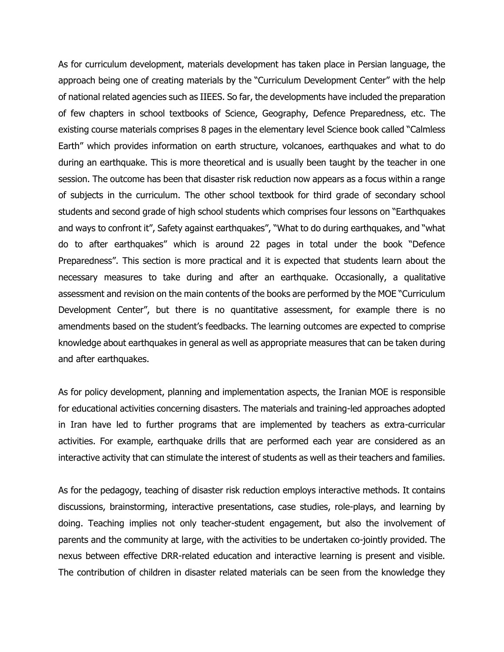As for curriculum development, materials development has taken place in Persian language, the approach being one of creating materials by the "Curriculum Development Center" with the help of national related agencies such as IIEES. So far, the developments have included the preparation of few chapters in school textbooks of Science, Geography, Defence Preparedness, etc. The existing course materials comprises 8 pages in the elementary level Science book called "Calmless Earth" which provides information on earth structure, volcanoes, earthquakes and what to do during an earthquake. This is more theoretical and is usually been taught by the teacher in one session. The outcome has been that disaster risk reduction now appears as a focus within a range of subjects in the curriculum. The other school textbook for third grade of secondary school students and second grade of high school students which comprises four lessons on "Earthquakes and ways to confront it", Safety against earthquakes", "What to do during earthquakes, and "what do to after earthquakes" which is around 22 pages in total under the book "Defence Preparedness". This section is more practical and it is expected that students learn about the necessary measures to take during and after an earthquake. Occasionally, a qualitative assessment and revision on the main contents of the books are performed by the MOE "Curriculum Development Center", but there is no quantitative assessment, for example there is no amendments based on the student's feedbacks. The learning outcomes are expected to comprise knowledge about earthquakes in general as well as appropriate measures that can be taken during and after earthquakes.

As for policy development, planning and implementation aspects, the Iranian MOE is responsible for educational activities concerning disasters. The materials and training-led approaches adopted in Iran have led to further programs that are implemented by teachers as extra-curricular activities. For example, earthquake drills that are performed each year are considered as an interactive activity that can stimulate the interest of students as well as their teachers and families.

As for the pedagogy, teaching of disaster risk reduction employs interactive methods. It contains discussions, brainstorming, interactive presentations, case studies, role-plays, and learning by doing. Teaching implies not only teacher-student engagement, but also the involvement of parents and the community at large, with the activities to be undertaken co-jointly provided. The nexus between effective DRR-related education and interactive learning is present and visible. The contribution of children in disaster related materials can be seen from the knowledge they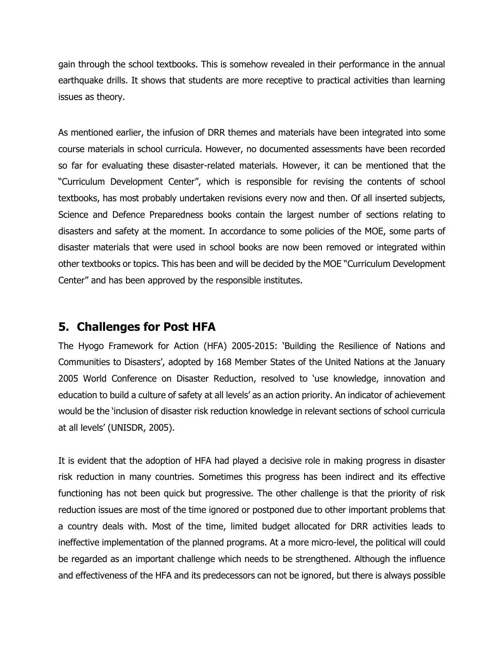gain through the school textbooks. This is somehow revealed in their performance in the annual earthquake drills. It shows that students are more receptive to practical activities than learning issues as theory.

As mentioned earlier, the infusion of DRR themes and materials have been integrated into some course materials in school curricula. However, no documented assessments have been recorded so far for evaluating these disaster-related materials. However, it can be mentioned that the "Curriculum Development Center", which is responsible for revising the contents of school textbooks, has most probably undertaken revisions every now and then. Of all inserted subjects, Science and Defence Preparedness books contain the largest number of sections relating to disasters and safety at the moment. In accordance to some policies of the MOE, some parts of disaster materials that were used in school books are now been removed or integrated within other textbooks or topics. This has been and will be decided by the MOE "Curriculum Development Center" and has been approved by the responsible institutes.

# **5. Challenges for Post HFA**

The Hyogo Framework for Action (HFA) 2005-2015: 'Building the Resilience of Nations and Communities to Disasters', adopted by 168 Member States of the United Nations at the January 2005 World Conference on Disaster Reduction, resolved to 'use knowledge, innovation and education to build a culture of safety at all levels' as an action priority. An indicator of achievement would be the 'inclusion of disaster risk reduction knowledge in relevant sections of school curricula at all levels' (UNISDR, 2005).

It is evident that the adoption of HFA had played a decisive role in making progress in disaster risk reduction in many countries. Sometimes this progress has been indirect and its effective functioning has not been quick but progressive. The other challenge is that the priority of risk reduction issues are most of the time ignored or postponed due to other important problems that a country deals with. Most of the time, limited budget allocated for DRR activities leads to ineffective implementation of the planned programs. At a more micro-level, the political will could be regarded as an important challenge which needs to be strengthened. Although the influence and effectiveness of the HFA and its predecessors can not be ignored, but there is always possible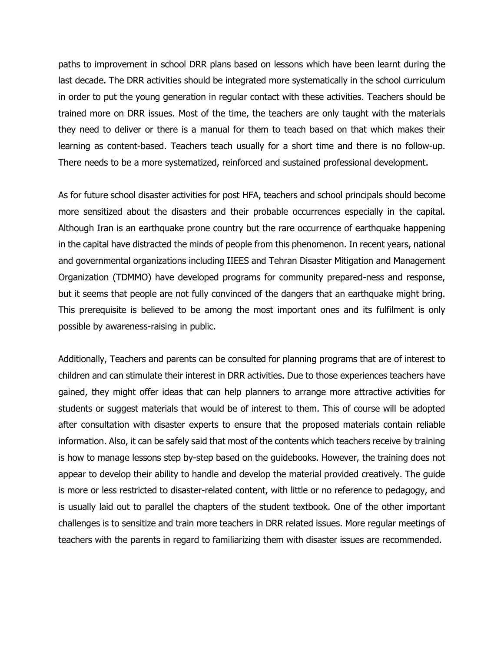paths to improvement in school DRR plans based on lessons which have been learnt during the last decade. The DRR activities should be integrated more systematically in the school curriculum in order to put the young generation in regular contact with these activities. Teachers should be trained more on DRR issues. Most of the time, the teachers are only taught with the materials they need to deliver or there is a manual for them to teach based on that which makes their learning as content-based. Teachers teach usually for a short time and there is no follow-up. There needs to be a more systematized, reinforced and sustained professional development.

As for future school disaster activities for post HFA, teachers and school principals should become more sensitized about the disasters and their probable occurrences especially in the capital. Although Iran is an earthquake prone country but the rare occurrence of earthquake happening in the capital have distracted the minds of people from this phenomenon. In recent years, national and governmental organizations including IIEES and Tehran Disaster Mitigation and Management Organization (TDMMO) have developed programs for community prepared-ness and response, but it seems that people are not fully convinced of the dangers that an earthquake might bring. This prerequisite is believed to be among the most important ones and its fulfilment is only possible by awareness-raising in public.

Additionally, Teachers and parents can be consulted for planning programs that are of interest to children and can stimulate their interest in DRR activities. Due to those experiences teachers have gained, they might offer ideas that can help planners to arrange more attractive activities for students or suggest materials that would be of interest to them. This of course will be adopted after consultation with disaster experts to ensure that the proposed materials contain reliable information. Also, it can be safely said that most of the contents which teachers receive by training is how to manage lessons step by-step based on the guidebooks. However, the training does not appear to develop their ability to handle and develop the material provided creatively. The guide is more or less restricted to disaster-related content, with little or no reference to pedagogy, and is usually laid out to parallel the chapters of the student textbook. One of the other important challenges is to sensitize and train more teachers in DRR related issues. More regular meetings of teachers with the parents in regard to familiarizing them with disaster issues are recommended.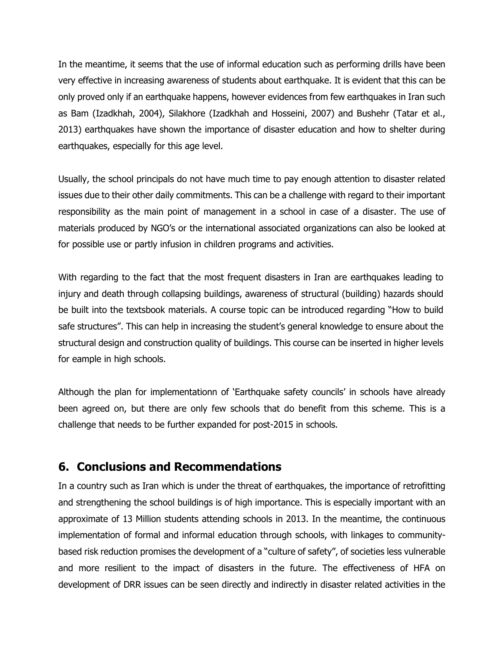In the meantime, it seems that the use of informal education such as performing drills have been very effective in increasing awareness of students about earthquake. It is evident that this can be only proved only if an earthquake happens, however evidences from few earthquakes in Iran such as Bam (Izadkhah, 2004), Silakhore (Izadkhah and Hosseini, 2007) and Bushehr (Tatar et al., 2013) earthquakes have shown the importance of disaster education and how to shelter during earthquakes, especially for this age level.

Usually, the school principals do not have much time to pay enough attention to disaster related issues due to their other daily commitments. This can be a challenge with regard to their important responsibility as the main point of management in a school in case of a disaster. The use of materials produced by NGO's or the international associated organizations can also be looked at for possible use or partly infusion in children programs and activities.

With regarding to the fact that the most frequent disasters in Iran are earthquakes leading to injury and death through collapsing buildings, awareness of structural (building) hazards should be built into the textsbook materials. A course topic can be introduced regarding "How to build safe structures". This can help in increasing the student's general knowledge to ensure about the structural design and construction quality of buildings. This course can be inserted in higher levels for eample in high schools.

Although the plan for implementationn of 'Earthquake safety councils' in schools have already been agreed on, but there are only few schools that do benefit from this scheme. This is a challenge that needs to be further expanded for post-2015 in schools.

## **6. Conclusions and Recommendations**

In a country such as Iran which is under the threat of earthquakes, the importance of retrofitting and strengthening the school buildings is of high importance. This is especially important with an approximate of 13 Million students attending schools in 2013. In the meantime, the continuous implementation of formal and informal education through schools, with linkages to communitybased risk reduction promises the development of a "culture of safety", of societies less vulnerable and more resilient to the impact of disasters in the future. The effectiveness of HFA on development of DRR issues can be seen directly and indirectly in disaster related activities in the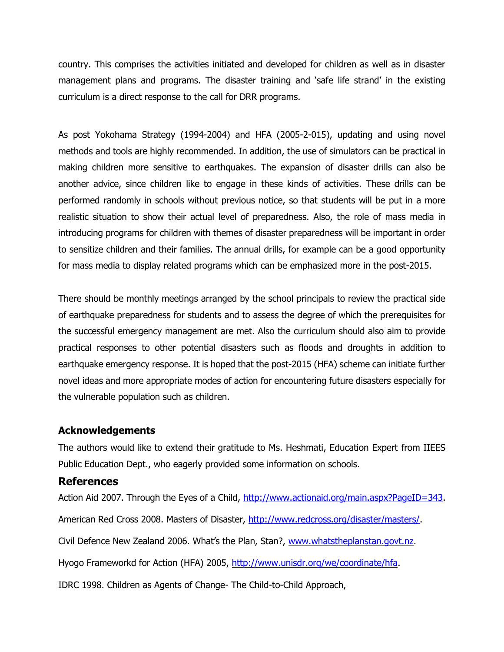country. This comprises the activities initiated and developed for children as well as in disaster management plans and programs. The disaster training and 'safe life strand' in the existing curriculum is a direct response to the call for DRR programs.

As post Yokohama Strategy (1994-2004) and HFA (2005-2-015), updating and using novel methods and tools are highly recommended. In addition, the use of simulators can be practical in making children more sensitive to earthquakes. The expansion of disaster drills can also be another advice, since children like to engage in these kinds of activities. These drills can be performed randomly in schools without previous notice, so that students will be put in a more realistic situation to show their actual level of preparedness. Also, the role of mass media in introducing programs for children with themes of disaster preparedness will be important in order to sensitize children and their families. The annual drills, for example can be a good opportunity for mass media to display related programs which can be emphasized more in the post-2015.

There should be monthly meetings arranged by the school principals to review the practical side of earthquake preparedness for students and to assess the degree of which the prerequisites for the successful emergency management are met. Also the curriculum should also aim to provide practical responses to other potential disasters such as floods and droughts in addition to earthquake emergency response. It is hoped that the post-2015 (HFA) scheme can initiate further novel ideas and more appropriate modes of action for encountering future disasters especially for the vulnerable population such as children.

#### **Acknowledgements**

The authors would like to extend their gratitude to Ms. Heshmati, Education Expert from IIEES Public Education Dept., who eagerly provided some information on schools.

## **References**

Action Aid 2007. Through the Eyes of a Child, [http://www.actionaid.org/main.aspx?PageID=343.](http://www.actionaid.org/main.aspx?PageID=343)

American Red Cross 2008. Masters of Disaster, [http://www.redcross.org/disaster/masters/.](http://www.redcross.org/disaster/masters/)

Civil Defence New Zealand 2006. What's the Plan, Stan?, [www.whatstheplanstan.govt.nz.](http://www.whatstheplanstan.govt.nz/)

Hyogo Frameworkd for Action (HFA) 2005, [http://www.unisdr.org/we/coordinate/hfa.](http://www.unisdr.org/we/coordinate/hfa)

IDRC 1998. Children as Agents of Change- The Child-to-Child Approach,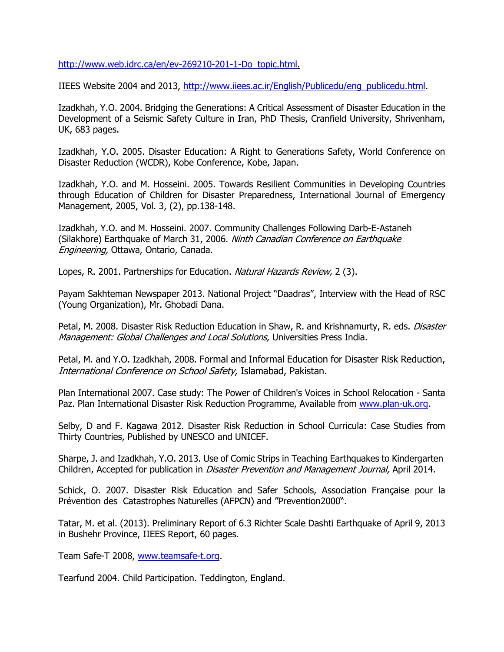[http://www.web.idrc.ca/en/ev-269210-201-1-Do\\_topic.html.](http://www.web.idrc.ca/en/ev-269210-201-1-Do_topic.html)

IIEES Website 2004 and 2013, [http://www.iiees.ac.ir/English/Publicedu/eng\\_publicedu.html.](http://www.iiees.ac.ir/English/Publicedu/eng_publicedu.html)

Izadkhah, Y.O. 2004. Bridging the Generations: A Critical Assessment of Disaster Education in the Development of a Seismic Safety Culture in Iran, PhD Thesis, Cranfield University, Shrivenham, UK, 683 pages.

Izadkhah, Y.O. 2005. Disaster Education: A Right to Generations Safety, World Conference on Disaster Reduction (WCDR), Kobe Conference, Kobe, Japan.

Izadkhah, Y.O. and M. Hosseini. 2005. Towards Resilient Communities in Developing Countries through Education of Children for Disaster Preparedness, International Journal of Emergency Management, 2005, Vol. 3, (2), pp.138-148.

Izadkhah, Y.O. and M. Hosseini. 2007. Community Challenges Following Darb-E-Astaneh (Silakhore) Earthquake of March 31, 2006. Ninth Canadian Conference on Earthquake Engineering, Ottawa, Ontario, Canada.

Lopes, R. 2001. Partnerships for Education. Natural Hazards Review, 2 (3).

Payam Sakhteman Newspaper 2013. National Project "Daadras", Interview with the Head of RSC (Young Organization), Mr. Ghobadi Dana.

Petal, M. 2008. Disaster Risk Reduction Education in Shaw, R. and Krishnamurty, R. eds. *Disaster* Management: Global Challenges and Local Solutions, Universities Press India.

Petal, M. and Y.O. Izadkhah, 2008. Formal and Informal Education for Disaster Risk Reduction, International Conference on School Safety, Islamabad, Pakistan.

Plan International 2007. Case study: The Power of Children's Voices in School Relocation - Santa Paz. Plan International Disaster Risk Reduction Programme, Available from [www.plan-uk.org.](http://www.plan-uk.org/)

Selby, D and F. Kagawa 2012. Disaster Risk Reduction in School Curricula: Case Studies from Thirty Countries, Published by UNESCO and UNICEF.

Sharpe, J. and Izadkhah, Y.O. 2013. Use of Comic Strips in Teaching Earthquakes to Kindergarten Children, Accepted for publication in *Disaster Prevention and Management Journal*, April 2014.

Schick, O. 2007. Disaster Risk Education and Safer Schools, Association Française pour la Prévention des Catastrophes Naturelles (AFPCN) and "Prevention2000".

Tatar, M. et al. (2013). Preliminary Report of 6.3 Richter Scale Dashti Earthquake of April 9, 2013 in Bushehr Province, IIEES Report, 60 pages.

Team Safe-T 2008, [www.teamsafe-t.org.](http://www.teamsafe-t.org/)

Tearfund 2004. Child Participation. Teddington, England.